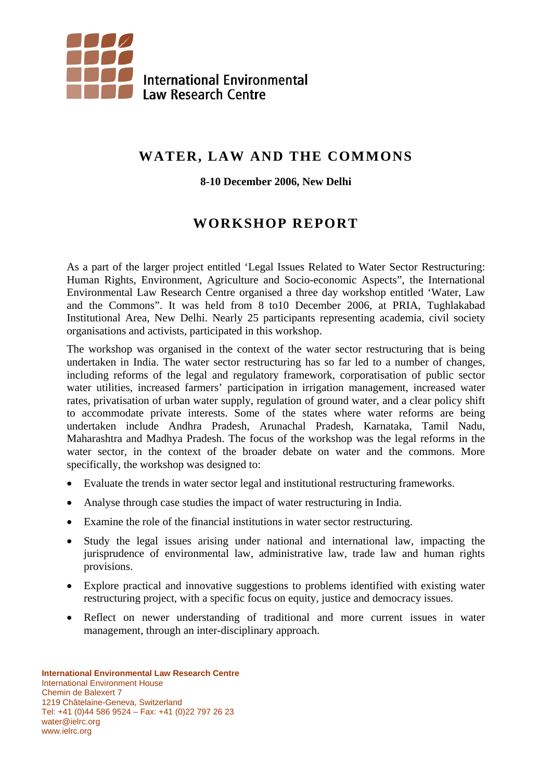

# **WATER, LAW AND THE COMMONS**

#### **8-10 December 2006, New Delhi**

## **WORKSHOP REPORT**

As a part of the larger project entitled 'Legal Issues Related to Water Sector Restructuring: Human Rights, Environment, Agriculture and Socio-economic Aspects", the International Environmental Law Research Centre organised a three day workshop entitled 'Water, Law and the Commons". It was held from 8 to10 December 2006, at PRIA, Tughlakabad Institutional Area, New Delhi. Nearly 25 participants representing academia, civil society organisations and activists, participated in this workshop.

The workshop was organised in the context of the water sector restructuring that is being undertaken in India. The water sector restructuring has so far led to a number of changes, including reforms of the legal and regulatory framework, corporatisation of public sector water utilities, increased farmers' participation in irrigation management, increased water rates, privatisation of urban water supply, regulation of ground water, and a clear policy shift to accommodate private interests. Some of the states where water reforms are being undertaken include Andhra Pradesh, Arunachal Pradesh, Karnataka, Tamil Nadu, Maharashtra and Madhya Pradesh. The focus of the workshop was the legal reforms in the water sector, in the context of the broader debate on water and the commons. More specifically, the workshop was designed to:

- Evaluate the trends in water sector legal and institutional restructuring frameworks.
- Analyse through case studies the impact of water restructuring in India.
- Examine the role of the financial institutions in water sector restructuring.
- Study the legal issues arising under national and international law, impacting the jurisprudence of environmental law, administrative law, trade law and human rights provisions.
- Explore practical and innovative suggestions to problems identified with existing water restructuring project, with a specific focus on equity, justice and democracy issues.
- Reflect on newer understanding of traditional and more current issues in water management, through an inter-disciplinary approach.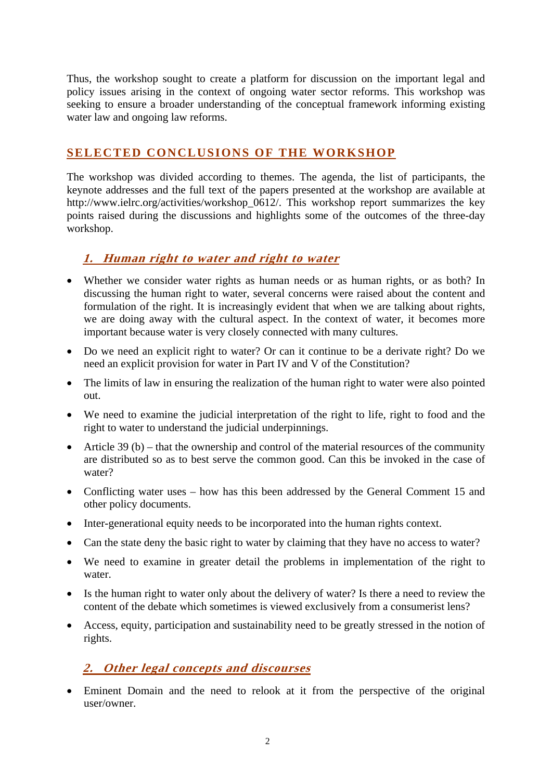Thus, the workshop sought to create a platform for discussion on the important legal and policy issues arising in the context of ongoing water sector reforms. This workshop was seeking to ensure a broader understanding of the conceptual framework informing existing water law and ongoing law reforms.

#### **SELECTED CONCLUSIONS OF THE WORKSHOP**

The workshop was divided according to themes. The agenda, the list of participants, the keynote addresses and the full text of the papers presented at the workshop are available at http://www.ielrc.org/activities/workshop\_0612/. This workshop report summarizes the key points raised during the discussions and highlights some of the outcomes of the three-day workshop.

#### **1. Human right to water and right to water**

- Whether we consider water rights as human needs or as human rights, or as both? In discussing the human right to water, several concerns were raised about the content and formulation of the right. It is increasingly evident that when we are talking about rights, we are doing away with the cultural aspect. In the context of water, it becomes more important because water is very closely connected with many cultures.
- Do we need an explicit right to water? Or can it continue to be a derivate right? Do we need an explicit provision for water in Part IV and V of the Constitution?
- The limits of law in ensuring the realization of the human right to water were also pointed out.
- We need to examine the judicial interpretation of the right to life, right to food and the right to water to understand the judicial underpinnings.
- Article 39 (b) that the ownership and control of the material resources of the community are distributed so as to best serve the common good. Can this be invoked in the case of water?
- Conflicting water uses how has this been addressed by the General Comment 15 and other policy documents.
- Inter-generational equity needs to be incorporated into the human rights context.
- Can the state deny the basic right to water by claiming that they have no access to water?
- We need to examine in greater detail the problems in implementation of the right to water.
- Is the human right to water only about the delivery of water? Is there a need to review the content of the debate which sometimes is viewed exclusively from a consumerist lens?
- Access, equity, participation and sustainability need to be greatly stressed in the notion of rights.

#### **2. Other legal concepts and discourses**

• Eminent Domain and the need to relook at it from the perspective of the original user/owner.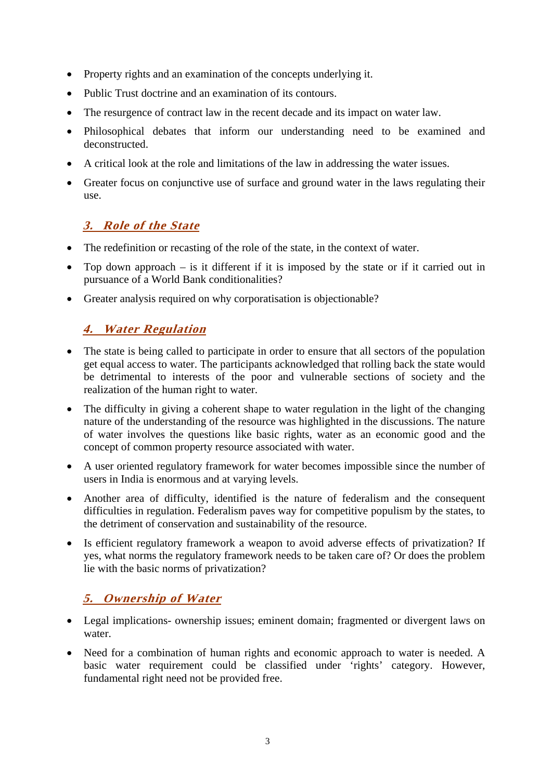- Property rights and an examination of the concepts underlying it.
- Public Trust doctrine and an examination of its contours.
- The resurgence of contract law in the recent decade and its impact on water law.
- Philosophical debates that inform our understanding need to be examined and deconstructed.
- A critical look at the role and limitations of the law in addressing the water issues.
- Greater focus on conjunctive use of surface and ground water in the laws regulating their use.

### **3. Role of the State**

- The redefinition or recasting of the role of the state, in the context of water.
- Top down approach is it different if it is imposed by the state or if it carried out in pursuance of a World Bank conditionalities?
- Greater analysis required on why corporatisation is objectionable?

## **4. Water Regulation**

- The state is being called to participate in order to ensure that all sectors of the population get equal access to water. The participants acknowledged that rolling back the state would be detrimental to interests of the poor and vulnerable sections of society and the realization of the human right to water.
- The difficulty in giving a coherent shape to water regulation in the light of the changing nature of the understanding of the resource was highlighted in the discussions. The nature of water involves the questions like basic rights, water as an economic good and the concept of common property resource associated with water.
- A user oriented regulatory framework for water becomes impossible since the number of users in India is enormous and at varying levels.
- Another area of difficulty, identified is the nature of federalism and the consequent difficulties in regulation. Federalism paves way for competitive populism by the states, to the detriment of conservation and sustainability of the resource.
- Is efficient regulatory framework a weapon to avoid adverse effects of privatization? If yes, what norms the regulatory framework needs to be taken care of? Or does the problem lie with the basic norms of privatization?

## **5. Ownership of Water**

- Legal implications- ownership issues; eminent domain; fragmented or divergent laws on water.
- Need for a combination of human rights and economic approach to water is needed. A basic water requirement could be classified under 'rights' category. However, fundamental right need not be provided free.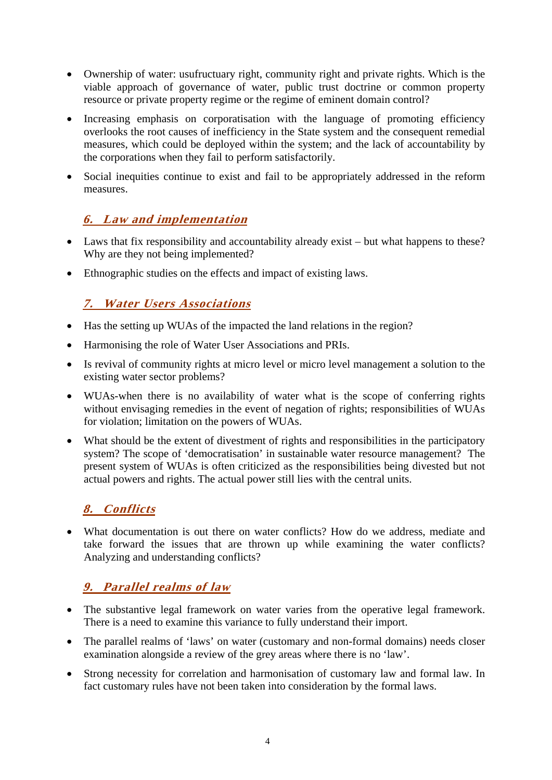- Ownership of water: usufructuary right, community right and private rights. Which is the viable approach of governance of water, public trust doctrine or common property resource or private property regime or the regime of eminent domain control?
- Increasing emphasis on corporatisation with the language of promoting efficiency overlooks the root causes of inefficiency in the State system and the consequent remedial measures, which could be deployed within the system; and the lack of accountability by the corporations when they fail to perform satisfactorily.
- Social inequities continue to exist and fail to be appropriately addressed in the reform measures.

### **6. Law and implementation**

- Laws that fix responsibility and accountability already exist but what happens to these? Why are they not being implemented?
- Ethnographic studies on the effects and impact of existing laws.

### **7. Water Users Associations**

- Has the setting up WUAs of the impacted the land relations in the region?
- Harmonising the role of Water User Associations and PRIs.
- Is revival of community rights at micro level or micro level management a solution to the existing water sector problems?
- WUAs-when there is no availability of water what is the scope of conferring rights without envisaging remedies in the event of negation of rights; responsibilities of WUAs for violation; limitation on the powers of WUAs.
- What should be the extent of divestment of rights and responsibilities in the participatory system? The scope of 'democratisation' in sustainable water resource management?The present system of WUAs is often criticized as the responsibilities being divested but not actual powers and rights. The actual power still lies with the central units.

## **8. Conflicts**

• What documentation is out there on water conflicts? How do we address, mediate and take forward the issues that are thrown up while examining the water conflicts? Analyzing and understanding conflicts?

## **9. Parallel realms of law**

- The substantive legal framework on water varies from the operative legal framework. There is a need to examine this variance to fully understand their import.
- The parallel realms of 'laws' on water (customary and non-formal domains) needs closer examination alongside a review of the grey areas where there is no 'law'.
- Strong necessity for correlation and harmonisation of customary law and formal law. In fact customary rules have not been taken into consideration by the formal laws.